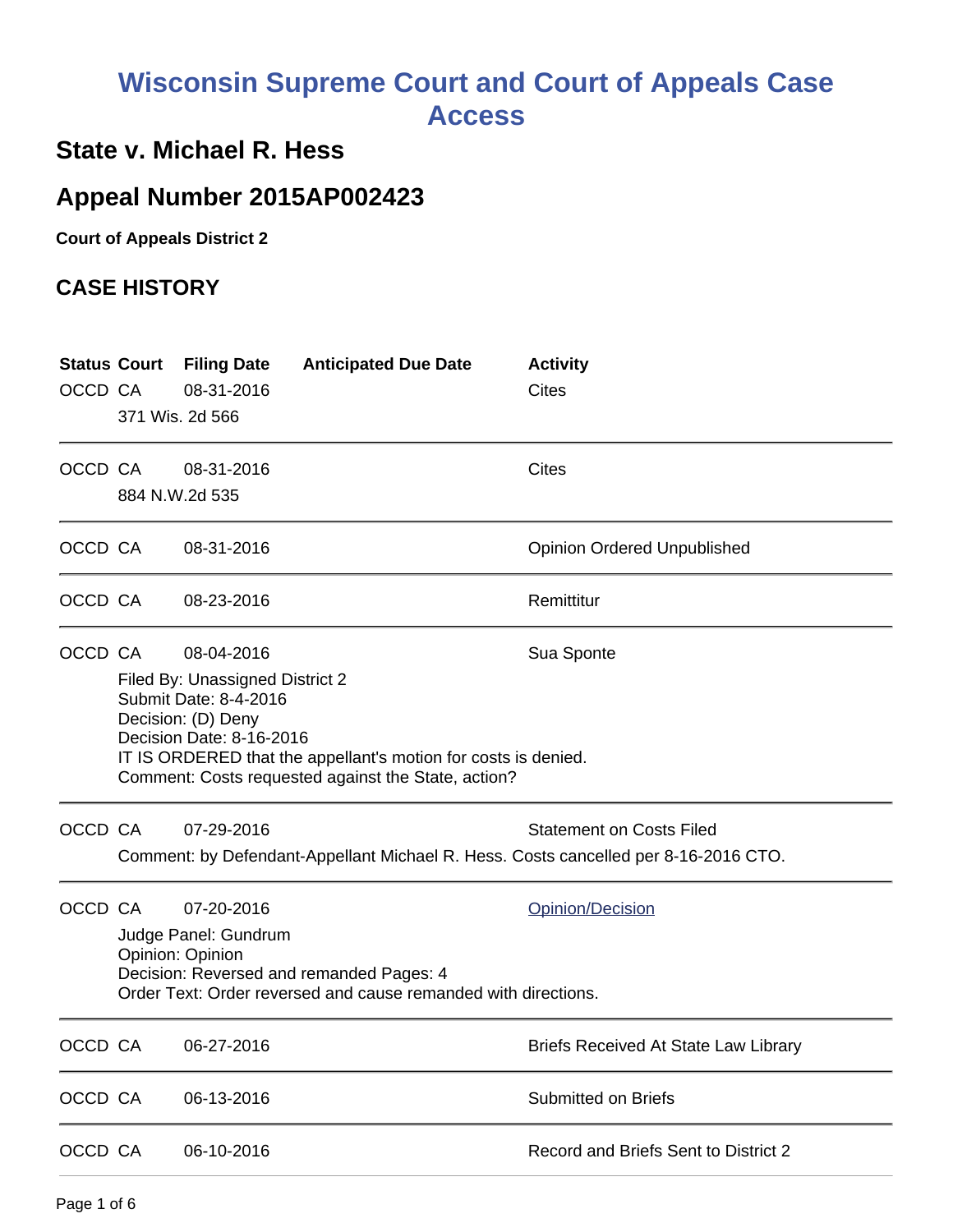# **Wisconsin Supreme Court and Court of Appeals Case Access**

## **State v. Michael R. Hess**

## **Appeal Number 2015AP002423**

**Court of Appeals District 2**

#### **CASE HISTORY**

| <b>Status Court</b><br>OCCD CA |                                                                                                                                                                                                                                                                 | <b>Filing Date</b><br>08-31-2016<br>371 Wis. 2d 566    | <b>Anticipated Due Date</b>                                                                                | <b>Activity</b><br>Cites                                                                                               |
|--------------------------------|-----------------------------------------------------------------------------------------------------------------------------------------------------------------------------------------------------------------------------------------------------------------|--------------------------------------------------------|------------------------------------------------------------------------------------------------------------|------------------------------------------------------------------------------------------------------------------------|
| OCCD CA                        |                                                                                                                                                                                                                                                                 | 08-31-2016<br>884 N.W.2d 535                           |                                                                                                            | <b>Cites</b>                                                                                                           |
| OCCD CA                        |                                                                                                                                                                                                                                                                 | 08-31-2016                                             |                                                                                                            | <b>Opinion Ordered Unpublished</b>                                                                                     |
| OCCD CA                        |                                                                                                                                                                                                                                                                 | 08-23-2016                                             |                                                                                                            | Remittitur                                                                                                             |
| OCCD CA                        | 08-04-2016<br>Sua Sponte<br>Filed By: Unassigned District 2<br>Submit Date: 8-4-2016<br>Decision: (D) Deny<br>Decision Date: 8-16-2016<br>IT IS ORDERED that the appellant's motion for costs is denied.<br>Comment: Costs requested against the State, action? |                                                        |                                                                                                            |                                                                                                                        |
| OCCD CA                        |                                                                                                                                                                                                                                                                 | 07-29-2016                                             |                                                                                                            | <b>Statement on Costs Filed</b><br>Comment: by Defendant-Appellant Michael R. Hess. Costs cancelled per 8-16-2016 CTO. |
| OCCD CA                        |                                                                                                                                                                                                                                                                 | 07-20-2016<br>Judge Panel: Gundrum<br>Opinion: Opinion | Decision: Reversed and remanded Pages: 4<br>Order Text: Order reversed and cause remanded with directions. | Opinion/Decision                                                                                                       |
| OCCD CA                        |                                                                                                                                                                                                                                                                 | 06-27-2016                                             |                                                                                                            | <b>Briefs Received At State Law Library</b>                                                                            |
| OCCD CA                        |                                                                                                                                                                                                                                                                 | 06-13-2016                                             |                                                                                                            | Submitted on Briefs                                                                                                    |
| OCCD CA                        |                                                                                                                                                                                                                                                                 | 06-10-2016                                             |                                                                                                            | Record and Briefs Sent to District 2                                                                                   |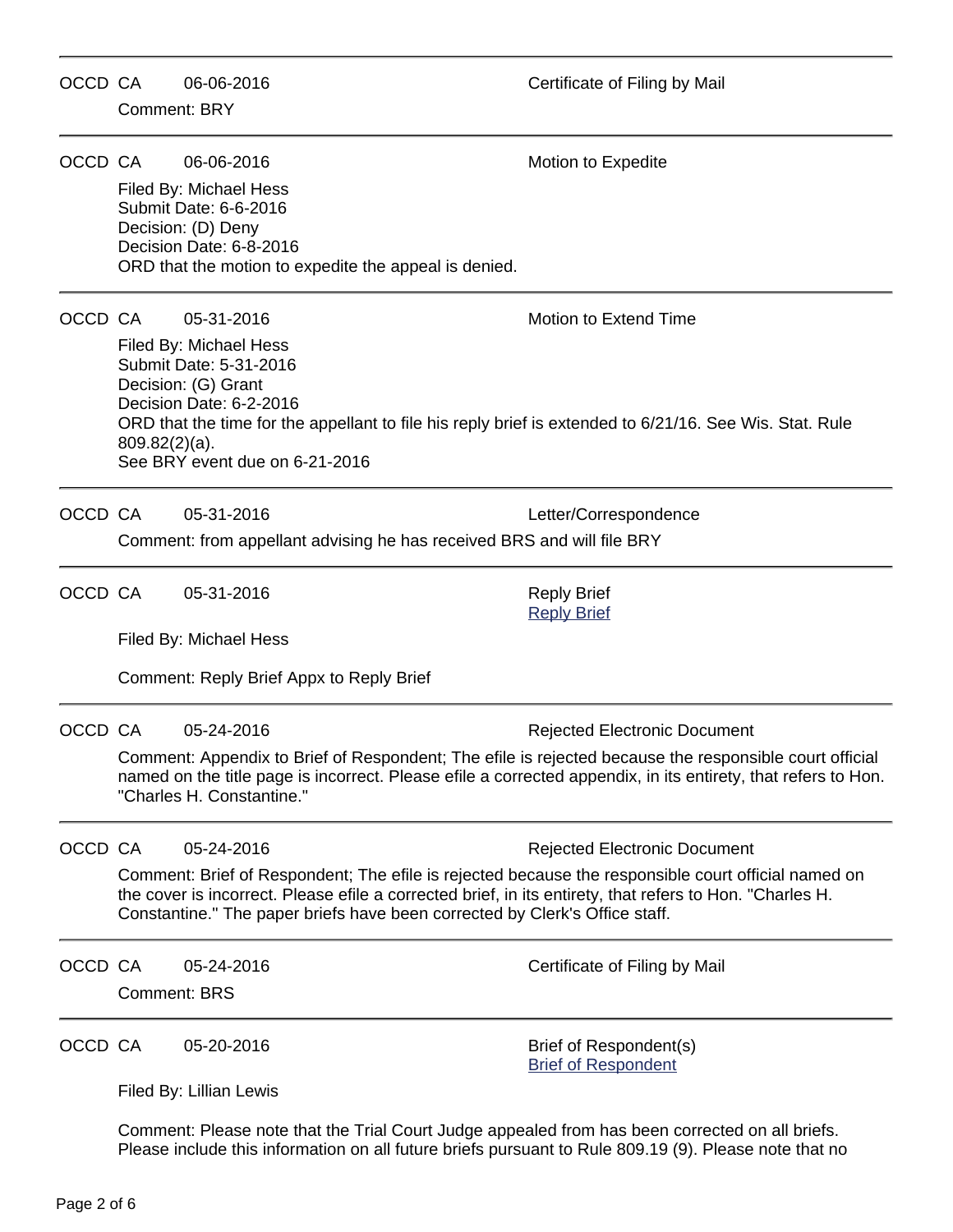| OCCD CA | <b>Comment: BRY</b> | 06-06-2016                                                                                                                                                                                                                                                                                                                                          | Certificate of Filing by Mail                                                                                                                                                                                                                                  |
|---------|---------------------|-----------------------------------------------------------------------------------------------------------------------------------------------------------------------------------------------------------------------------------------------------------------------------------------------------------------------------------------------------|----------------------------------------------------------------------------------------------------------------------------------------------------------------------------------------------------------------------------------------------------------------|
| OCCD CA |                     | 06-06-2016<br>Filed By: Michael Hess<br>Submit Date: 6-6-2016<br>Decision: (D) Deny<br>Decision Date: 6-8-2016<br>ORD that the motion to expedite the appeal is denied.                                                                                                                                                                             | Motion to Expedite                                                                                                                                                                                                                                             |
| OCCD CA | $809.82(2)(a)$ .    | 05-31-2016<br>Filed By: Michael Hess<br>Submit Date: 5-31-2016<br>Decision: (G) Grant<br>Decision Date: 6-2-2016<br>ORD that the time for the appellant to file his reply brief is extended to 6/21/16. See Wis. Stat. Rule<br>See BRY event due on 6-21-2016                                                                                       | <b>Motion to Extend Time</b>                                                                                                                                                                                                                                   |
| OCCD CA |                     | 05-31-2016<br>Comment: from appellant advising he has received BRS and will file BRY                                                                                                                                                                                                                                                                | Letter/Correspondence                                                                                                                                                                                                                                          |
| OCCD CA |                     | 05-31-2016<br>Filed By: Michael Hess<br>Comment: Reply Brief Appx to Reply Brief                                                                                                                                                                                                                                                                    | <b>Reply Brief</b><br><b>Reply Brief</b>                                                                                                                                                                                                                       |
| OCCD CA |                     | 05-24-2016<br>"Charles H. Constantine."                                                                                                                                                                                                                                                                                                             | <b>Rejected Electronic Document</b><br>Comment: Appendix to Brief of Respondent; The efile is rejected because the responsible court official<br>named on the title page is incorrect. Please efile a corrected appendix, in its entirety, that refers to Hon. |
| OCCD CA |                     | 05-24-2016<br><b>Rejected Electronic Document</b><br>Comment: Brief of Respondent; The efile is rejected because the responsible court official named on<br>the cover is incorrect. Please efile a corrected brief, in its entirety, that refers to Hon. "Charles H.<br>Constantine." The paper briefs have been corrected by Clerk's Office staff. |                                                                                                                                                                                                                                                                |
| OCCD CA | <b>Comment: BRS</b> | 05-24-2016                                                                                                                                                                                                                                                                                                                                          | Certificate of Filing by Mail                                                                                                                                                                                                                                  |
| OCCD CA |                     | 05-20-2016<br>Filed By: Lillian Lewis<br>Comment: Please note that the Trial Court Judge appealed from has been corrected on all briefs.                                                                                                                                                                                                            | Brief of Respondent(s)<br><b>Brief of Respondent</b>                                                                                                                                                                                                           |

Please include this information on all future briefs pursuant to Rule 809.19 (9). Please note that no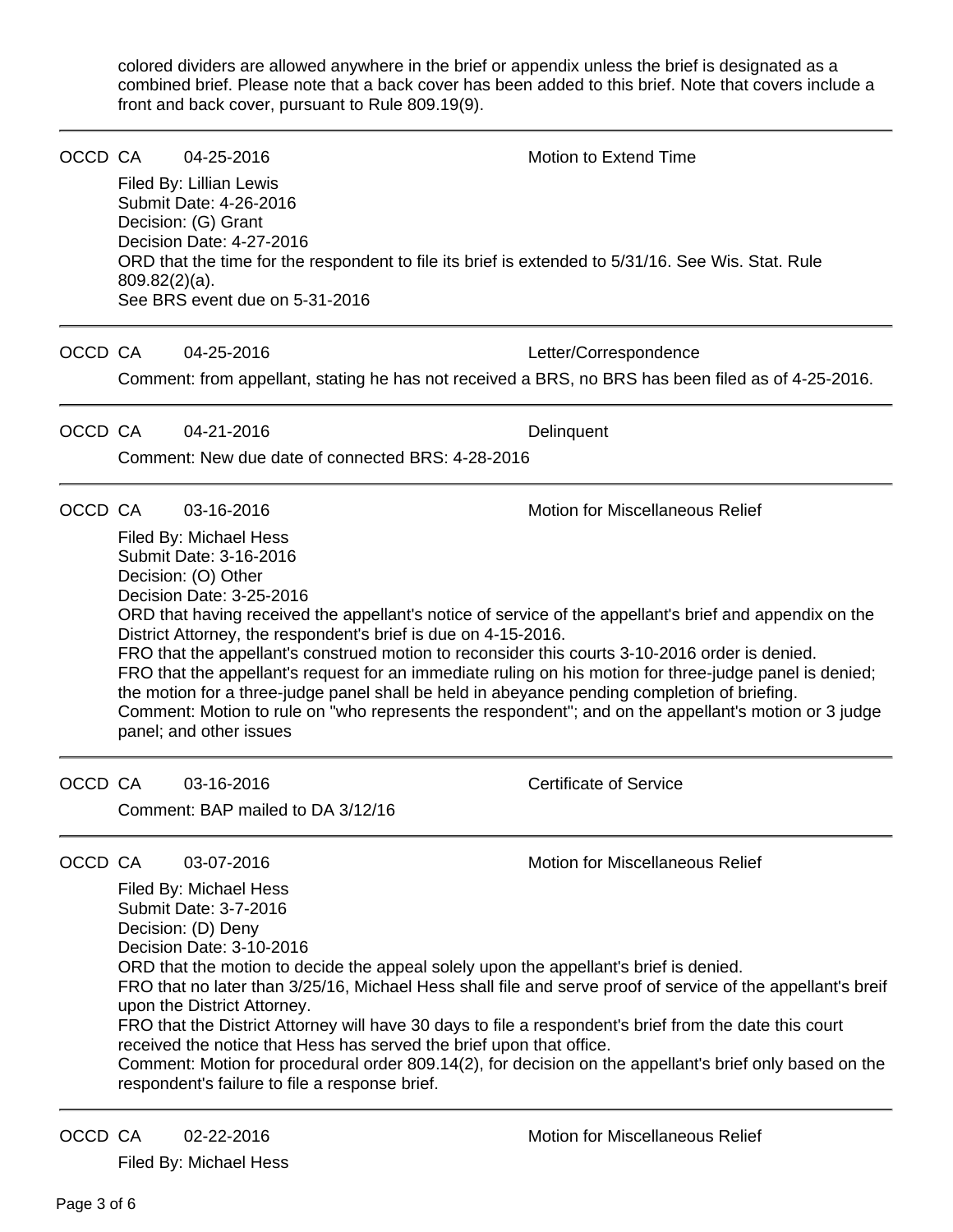colored dividers are allowed anywhere in the brief or appendix unless the brief is designated as a combined brief. Please note that a back cover has been added to this brief. Note that covers include a front and back cover, pursuant to Rule 809.19(9).

|         | OCCD CA<br>$809.82(2)(a)$ . | 04-25-2016<br>Filed By: Lillian Lewis<br>Submit Date: 4-26-2016<br>Decision: (G) Grant<br>Decision Date: 4-27-2016<br>See BRS event due on 5-31-2016                                             |                                                                      | <b>Motion to Extend Time</b><br>ORD that the time for the respondent to file its brief is extended to 5/31/16. See Wis. Stat. Rule                                                                                                                                                                                                                                                                                                                                                                                                                              |
|---------|-----------------------------|--------------------------------------------------------------------------------------------------------------------------------------------------------------------------------------------------|----------------------------------------------------------------------|-----------------------------------------------------------------------------------------------------------------------------------------------------------------------------------------------------------------------------------------------------------------------------------------------------------------------------------------------------------------------------------------------------------------------------------------------------------------------------------------------------------------------------------------------------------------|
| OCCD CA |                             | 04-25-2016                                                                                                                                                                                       |                                                                      | Letter/Correspondence<br>Comment: from appellant, stating he has not received a BRS, no BRS has been filed as of 4-25-2016.                                                                                                                                                                                                                                                                                                                                                                                                                                     |
| OCCD CA |                             | 04-21-2016                                                                                                                                                                                       | Comment: New due date of connected BRS: 4-28-2016                    | Delinquent                                                                                                                                                                                                                                                                                                                                                                                                                                                                                                                                                      |
|         | OCCD CA                     | 03-16-2016<br>Filed By: Michael Hess<br>Submit Date: 3-16-2016<br>Decision: (O) Other<br>Decision Date: 3-25-2016<br>panel; and other issues                                                     | District Attorney, the respondent's brief is due on 4-15-2016.       | Motion for Miscellaneous Relief<br>ORD that having received the appellant's notice of service of the appellant's brief and appendix on the<br>FRO that the appellant's construed motion to reconsider this courts 3-10-2016 order is denied.<br>FRO that the appellant's request for an immediate ruling on his motion for three-judge panel is denied;<br>the motion for a three-judge panel shall be held in abeyance pending completion of briefing.<br>Comment: Motion to rule on "who represents the respondent"; and on the appellant's motion or 3 judge |
|         | OCCD CA                     | 03-16-2016<br>Comment: BAP mailed to DA 3/12/16                                                                                                                                                  |                                                                      | <b>Certificate of Service</b>                                                                                                                                                                                                                                                                                                                                                                                                                                                                                                                                   |
| OCCD CA |                             | 03-07-2016<br>Filed By: Michael Hess<br>Submit Date: 3-7-2016<br>Decision: (D) Deny<br>Decision Date: 3-10-2016<br>upon the District Attorney.<br>respondent's failure to file a response brief. | received the notice that Hess has served the brief upon that office. | Motion for Miscellaneous Relief<br>ORD that the motion to decide the appeal solely upon the appellant's brief is denied.<br>FRO that no later than 3/25/16, Michael Hess shall file and serve proof of service of the appellant's breif<br>FRO that the District Attorney will have 30 days to file a respondent's brief from the date this court<br>Comment: Motion for procedural order 809.14(2), for decision on the appellant's brief only based on the                                                                                                    |
|         |                             |                                                                                                                                                                                                  |                                                                      |                                                                                                                                                                                                                                                                                                                                                                                                                                                                                                                                                                 |

OCCD CA 02-22-2016 Motion for Miscellaneous Relief

Filed By: Michael Hess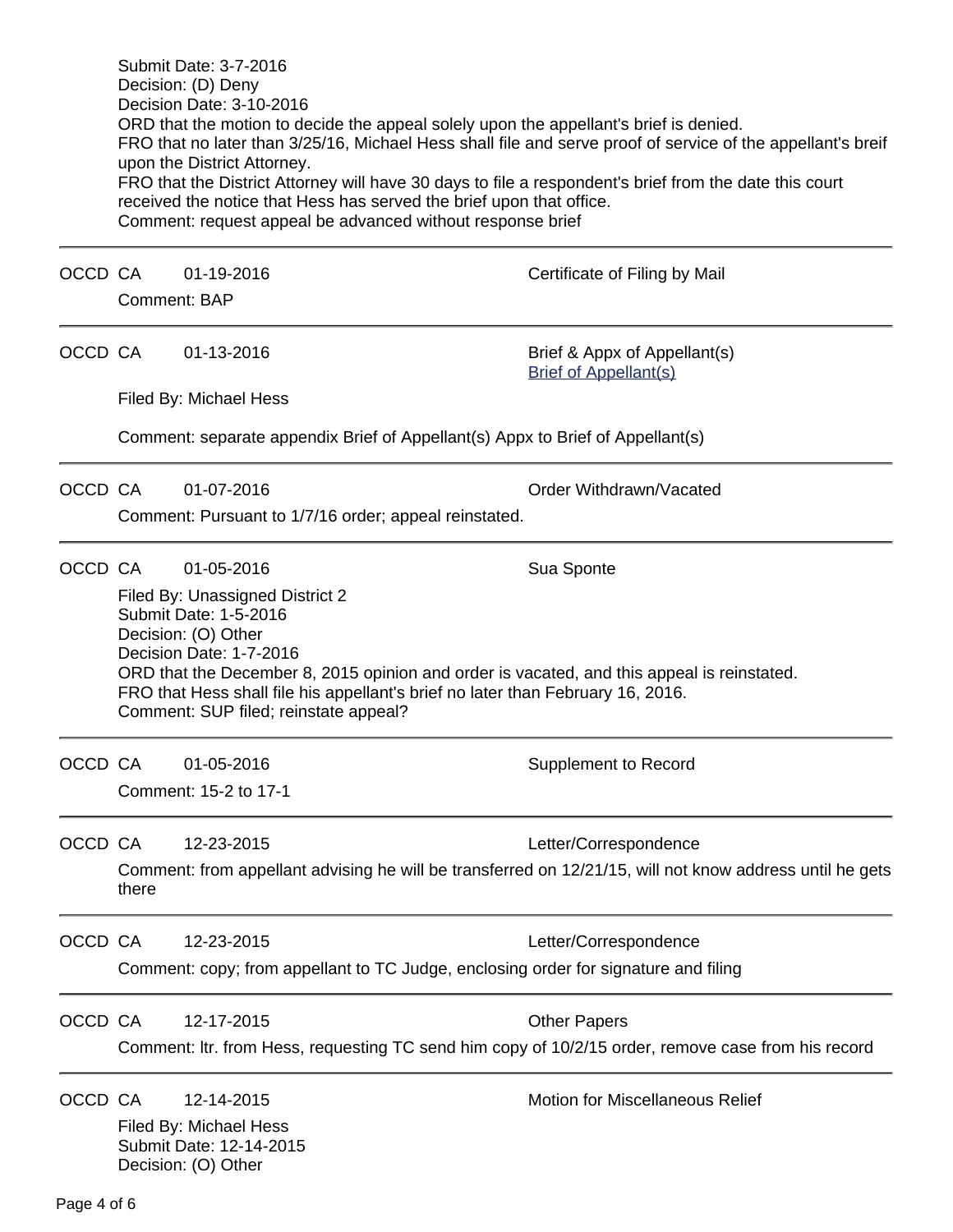|                                                                                                          | Submit Date: 3-7-2016<br>Decision: (D) Deny<br>Decision Date: 3-10-2016<br>ORD that the motion to decide the appeal solely upon the appellant's brief is denied.<br>FRO that no later than 3/25/16, Michael Hess shall file and serve proof of service of the appellant's breif<br>upon the District Attorney.<br>FRO that the District Attorney will have 30 days to file a respondent's brief from the date this court<br>received the notice that Hess has served the brief upon that office.<br>Comment: request appeal be advanced without response brief |                                                                                                                                    |  |  |  |
|----------------------------------------------------------------------------------------------------------|----------------------------------------------------------------------------------------------------------------------------------------------------------------------------------------------------------------------------------------------------------------------------------------------------------------------------------------------------------------------------------------------------------------------------------------------------------------------------------------------------------------------------------------------------------------|------------------------------------------------------------------------------------------------------------------------------------|--|--|--|
|                                                                                                          | 01-19-2016                                                                                                                                                                                                                                                                                                                                                                                                                                                                                                                                                     | Certificate of Filing by Mail                                                                                                      |  |  |  |
|                                                                                                          |                                                                                                                                                                                                                                                                                                                                                                                                                                                                                                                                                                |                                                                                                                                    |  |  |  |
|                                                                                                          | 01-13-2016                                                                                                                                                                                                                                                                                                                                                                                                                                                                                                                                                     | Brief & Appx of Appellant(s)<br><b>Brief of Appellant(s)</b>                                                                       |  |  |  |
|                                                                                                          |                                                                                                                                                                                                                                                                                                                                                                                                                                                                                                                                                                |                                                                                                                                    |  |  |  |
|                                                                                                          | Comment: separate appendix Brief of Appellant(s) Appx to Brief of Appellant(s)                                                                                                                                                                                                                                                                                                                                                                                                                                                                                 |                                                                                                                                    |  |  |  |
|                                                                                                          | 01-07-2016                                                                                                                                                                                                                                                                                                                                                                                                                                                                                                                                                     | Order Withdrawn/Vacated                                                                                                            |  |  |  |
|                                                                                                          | Comment: Pursuant to 1/7/16 order; appeal reinstated.                                                                                                                                                                                                                                                                                                                                                                                                                                                                                                          |                                                                                                                                    |  |  |  |
|                                                                                                          | 01-05-2016                                                                                                                                                                                                                                                                                                                                                                                                                                                                                                                                                     | Sua Sponte                                                                                                                         |  |  |  |
|                                                                                                          | Filed By: Unassigned District 2<br>Submit Date: 1-5-2016<br>Decision: (O) Other<br>Decision Date: 1-7-2016<br>ORD that the December 8, 2015 opinion and order is vacated, and this appeal is reinstated.<br>FRO that Hess shall file his appellant's brief no later than February 16, 2016.                                                                                                                                                                                                                                                                    |                                                                                                                                    |  |  |  |
|                                                                                                          | 01-05-2016                                                                                                                                                                                                                                                                                                                                                                                                                                                                                                                                                     | <b>Supplement to Record</b>                                                                                                        |  |  |  |
|                                                                                                          | 12-23-2015                                                                                                                                                                                                                                                                                                                                                                                                                                                                                                                                                     | Letter/Correspondence                                                                                                              |  |  |  |
| Comment: from appellant advising he will be transferred on 12/21/15, will not know address until he gets |                                                                                                                                                                                                                                                                                                                                                                                                                                                                                                                                                                |                                                                                                                                    |  |  |  |
|                                                                                                          | 12-23-2015                                                                                                                                                                                                                                                                                                                                                                                                                                                                                                                                                     | Letter/Correspondence                                                                                                              |  |  |  |
|                                                                                                          | Comment: copy; from appellant to TC Judge, enclosing order for signature and filing                                                                                                                                                                                                                                                                                                                                                                                                                                                                            |                                                                                                                                    |  |  |  |
|                                                                                                          | 12-17-2015                                                                                                                                                                                                                                                                                                                                                                                                                                                                                                                                                     | <b>Other Papers</b>                                                                                                                |  |  |  |
|                                                                                                          |                                                                                                                                                                                                                                                                                                                                                                                                                                                                                                                                                                | Comment: Itr. from Hess, requesting TC send him copy of 10/2/15 order, remove case from his record                                 |  |  |  |
|                                                                                                          | 12-14-2015<br>Submit Date: 12-14-2015                                                                                                                                                                                                                                                                                                                                                                                                                                                                                                                          | <b>Motion for Miscellaneous Relief</b>                                                                                             |  |  |  |
|                                                                                                          | OCCD CA<br>OCCD CA<br>OCCD CA<br>OCCD CA<br>OCCD CA<br>OCCD CA<br>there<br>OCCD CA<br>OCCD CA<br>OCCD CA                                                                                                                                                                                                                                                                                                                                                                                                                                                       | Comment: BAP<br>Filed By: Michael Hess<br>Comment: SUP filed; reinstate appeal?<br>Comment: 15-2 to 17-1<br>Filed By: Michael Hess |  |  |  |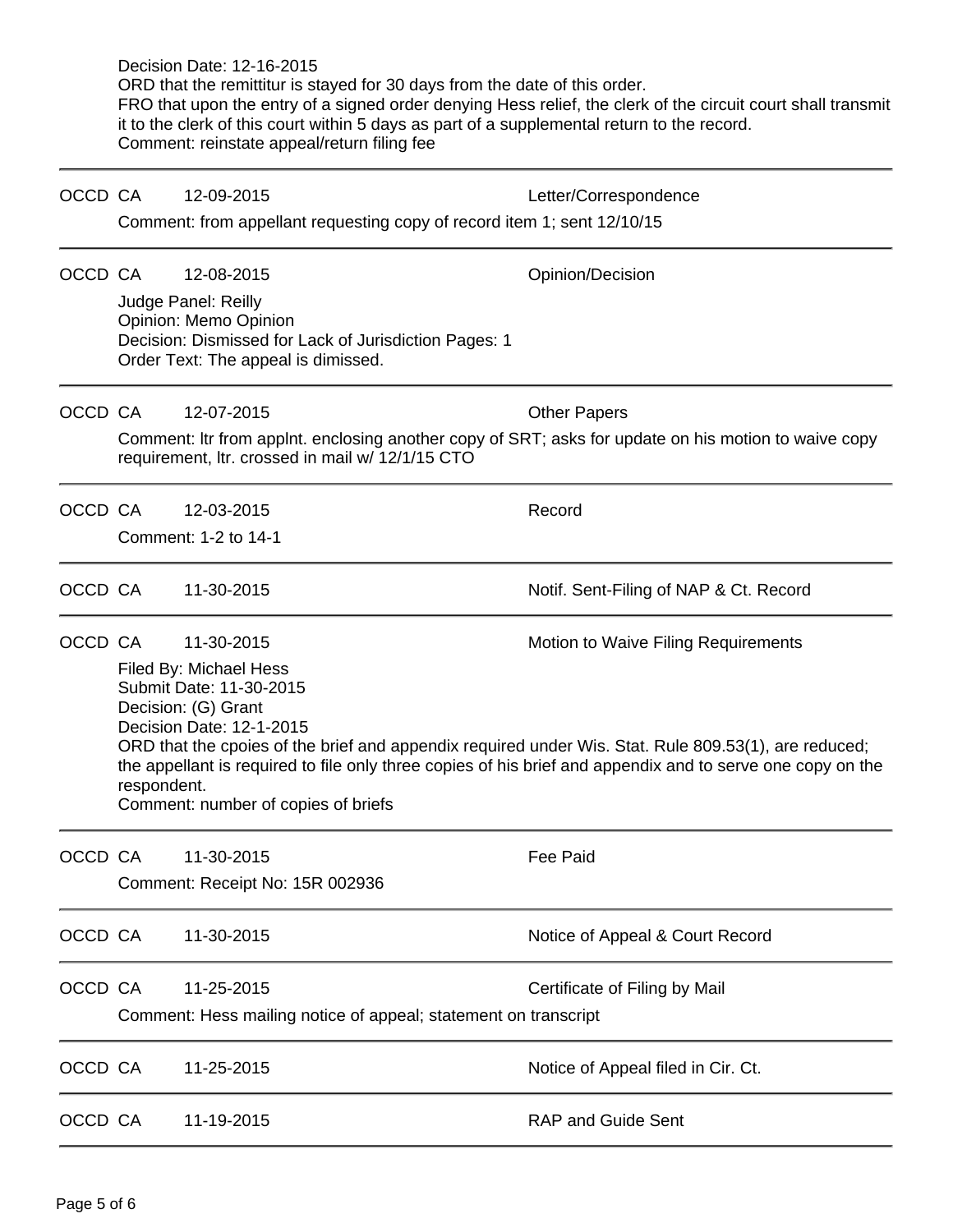|         |                                 | Decision Date: 12-16-2015<br>ORD that the remittitur is stayed for 30 days from the date of this order.<br>it to the clerk of this court within 5 days as part of a supplemental return to the record.<br>Comment: reinstate appeal/return filing fee | FRO that upon the entry of a signed order denying Hess relief, the clerk of the circuit court shall transmit                                                                                                       |  |  |  |  |
|---------|---------------------------------|-------------------------------------------------------------------------------------------------------------------------------------------------------------------------------------------------------------------------------------------------------|--------------------------------------------------------------------------------------------------------------------------------------------------------------------------------------------------------------------|--|--|--|--|
| OCCD CA |                                 | 12-09-2015                                                                                                                                                                                                                                            | Letter/Correspondence                                                                                                                                                                                              |  |  |  |  |
|         |                                 | Comment: from appellant requesting copy of record item 1; sent 12/10/15                                                                                                                                                                               |                                                                                                                                                                                                                    |  |  |  |  |
| OCCD CA |                                 | 12-08-2015                                                                                                                                                                                                                                            | Opinion/Decision                                                                                                                                                                                                   |  |  |  |  |
|         |                                 | Judge Panel: Reilly<br>Opinion: Memo Opinion<br>Decision: Dismissed for Lack of Jurisdiction Pages: 1<br>Order Text: The appeal is dimissed.                                                                                                          |                                                                                                                                                                                                                    |  |  |  |  |
| OCCD CA |                                 | 12-07-2015                                                                                                                                                                                                                                            | <b>Other Papers</b>                                                                                                                                                                                                |  |  |  |  |
|         |                                 | Comment: Itr from applnt. enclosing another copy of SRT; asks for update on his motion to waive copy<br>requirement, Itr. crossed in mail w/ 12/1/15 CTO                                                                                              |                                                                                                                                                                                                                    |  |  |  |  |
| OCCD CA |                                 | 12-03-2015                                                                                                                                                                                                                                            | Record                                                                                                                                                                                                             |  |  |  |  |
|         |                                 | Comment: 1-2 to 14-1                                                                                                                                                                                                                                  |                                                                                                                                                                                                                    |  |  |  |  |
| OCCD CA |                                 | 11-30-2015                                                                                                                                                                                                                                            | Notif. Sent-Filing of NAP & Ct. Record                                                                                                                                                                             |  |  |  |  |
| OCCD CA |                                 | 11-30-2015                                                                                                                                                                                                                                            | Motion to Waive Filing Requirements                                                                                                                                                                                |  |  |  |  |
|         | respondent.                     | Filed By: Michael Hess<br>Submit Date: 11-30-2015<br>Decision: (G) Grant<br>Decision Date: 12-1-2015<br>Comment: number of copies of briefs                                                                                                           | ORD that the cpoies of the brief and appendix required under Wis. Stat. Rule 809.53(1), are reduced;<br>the appellant is required to file only three copies of his brief and appendix and to serve one copy on the |  |  |  |  |
| OCCD CA |                                 | 11-30-2015                                                                                                                                                                                                                                            | Fee Paid                                                                                                                                                                                                           |  |  |  |  |
|         | Comment: Receipt No: 15R 002936 |                                                                                                                                                                                                                                                       |                                                                                                                                                                                                                    |  |  |  |  |
| OCCD CA |                                 | 11-30-2015                                                                                                                                                                                                                                            | Notice of Appeal & Court Record                                                                                                                                                                                    |  |  |  |  |
| OCCD CA |                                 | 11-25-2015<br>Comment: Hess mailing notice of appeal; statement on transcript                                                                                                                                                                         | Certificate of Filing by Mail                                                                                                                                                                                      |  |  |  |  |
| OCCD CA |                                 | 11-25-2015                                                                                                                                                                                                                                            | Notice of Appeal filed in Cir. Ct.                                                                                                                                                                                 |  |  |  |  |
| OCCD CA |                                 | 11-19-2015                                                                                                                                                                                                                                            | <b>RAP and Guide Sent</b>                                                                                                                                                                                          |  |  |  |  |